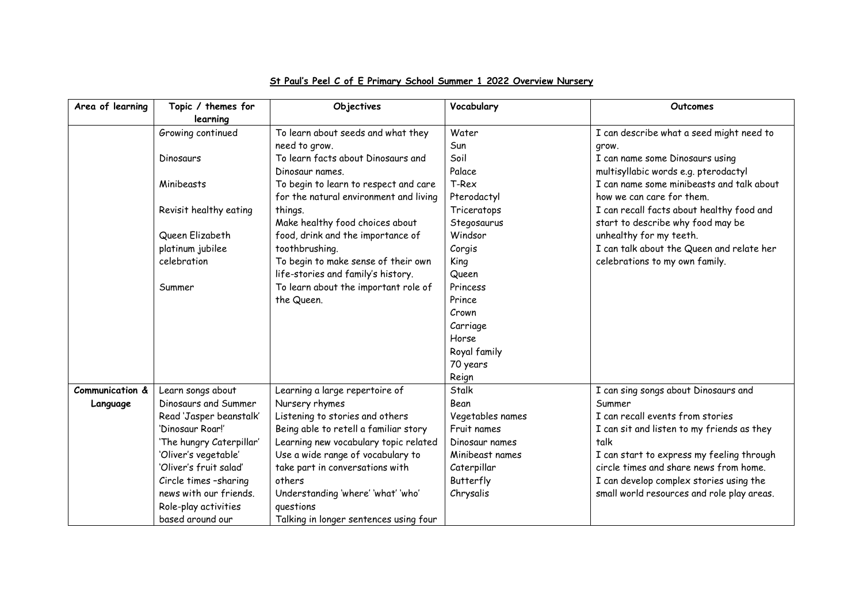| Area of learning | Topic / themes for<br>learning | Objectives                             | Vocabulary       | Outcomes                                   |
|------------------|--------------------------------|----------------------------------------|------------------|--------------------------------------------|
|                  | Growing continued              | To learn about seeds and what they     | Water            | I can describe what a seed might need to   |
|                  |                                | need to grow.                          | Sun              | grow.                                      |
|                  | Dinosaurs                      | To learn facts about Dinosaurs and     | Soil             | I can name some Dinosaurs using            |
|                  |                                | Dinosaur names.                        | Palace           | multisyllabic words e.g. pterodactyl       |
|                  | Minibeasts                     | To begin to learn to respect and care  | T-Rex            | I can name some minibeasts and talk about  |
|                  |                                | for the natural environment and living | Pterodactyl      | how we can care for them.                  |
|                  | Revisit healthy eating         | things.                                | Triceratops      | I can recall facts about healthy food and  |
|                  |                                | Make healthy food choices about        | Stegosaurus      | start to describe why food may be          |
|                  | Queen Elizabeth                | food, drink and the importance of      | Windsor          | unhealthy for my teeth.                    |
|                  | platinum jubilee               | toothbrushing.                         | Corgis           | I can talk about the Queen and relate her  |
|                  | celebration                    | To begin to make sense of their own    | King             | celebrations to my own family.             |
|                  |                                | life-stories and family's history.     | Queen            |                                            |
|                  | Summer                         | To learn about the important role of   | Princess         |                                            |
|                  |                                | the Queen.                             | Prince           |                                            |
|                  |                                |                                        | Crown            |                                            |
|                  |                                |                                        | Carriage         |                                            |
|                  |                                |                                        | Horse            |                                            |
|                  |                                |                                        | Royal family     |                                            |
|                  |                                |                                        | 70 years         |                                            |
|                  |                                |                                        | Reign            |                                            |
| Communication &  | Learn songs about              | Learning a large repertoire of         | Stalk            | I can sing songs about Dinosaurs and       |
| Language         | Dinosaurs and Summer           | Nursery rhymes                         | Bean             | Summer                                     |
|                  | Read 'Jasper beanstalk'        | Listening to stories and others        | Vegetables names | I can recall events from stories           |
|                  | 'Dinosaur Roar!'               | Being able to retell a familiar story  | Fruit names      | I can sit and listen to my friends as they |
|                  | 'The hungry Caterpillar'       | Learning new vocabulary topic related  | Dinosaur names   | talk                                       |
|                  | 'Oliver's vegetable'           | Use a wide range of vocabulary to      | Minibeast names  | I can start to express my feeling through  |
|                  | 'Oliver's fruit salad'         | take part in conversations with        | Caterpillar      | circle times and share news from home.     |
|                  | Circle times -sharing          | others                                 | Butterfly        | I can develop complex stories using the    |
|                  | news with our friends.         | Understanding 'where' 'what' 'who'     | Chrysalis        | small world resources and role play areas. |
|                  | Role-play activities           | questions                              |                  |                                            |
|                  | based around our               | Talking in longer sentences using four |                  |                                            |

## **St Paul's Peel C of E Primary School Summer 1 2022 Overview Nursery**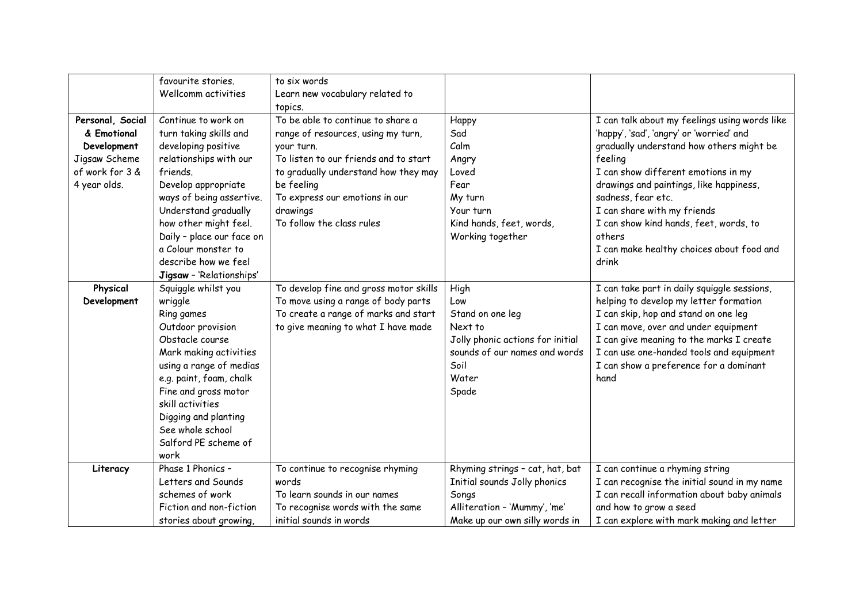|                                                                                                    | favourite stories.<br>Wellcomm activities                                                                                                                                                                                                                                                                                | to six words<br>Learn new vocabulary related to<br>topics.                                                                                                                                                                                                      |                                                                                                                                            |                                                                                                                                                                                                                                                                                                                                                                                                   |
|----------------------------------------------------------------------------------------------------|--------------------------------------------------------------------------------------------------------------------------------------------------------------------------------------------------------------------------------------------------------------------------------------------------------------------------|-----------------------------------------------------------------------------------------------------------------------------------------------------------------------------------------------------------------------------------------------------------------|--------------------------------------------------------------------------------------------------------------------------------------------|---------------------------------------------------------------------------------------------------------------------------------------------------------------------------------------------------------------------------------------------------------------------------------------------------------------------------------------------------------------------------------------------------|
| Personal, Social<br>& Emotional<br>Development<br>Jigsaw Scheme<br>of work for 3 &<br>4 year olds. | Continue to work on<br>turn taking skills and<br>developing positive<br>relationships with our<br>friends.<br>Develop appropriate<br>ways of being assertive.<br>Understand gradually<br>how other might feel.<br>Daily - place our face on<br>a Colour monster to<br>describe how we feel                               | To be able to continue to share a<br>range of resources, using my turn,<br>your turn.<br>To listen to our friends and to start<br>to gradually understand how they may<br>be feeling<br>To express our emotions in our<br>drawings<br>To follow the class rules | Happy<br>Sad<br>Calm<br>Angry<br>Loved<br>Fear<br>My turn<br>Your turn<br>Kind hands, feet, words,<br>Working together                     | I can talk about my feelings using words like<br>'happy', 'sad', 'angry' or 'worried' and<br>gradually understand how others might be<br>feeling<br>I can show different emotions in my<br>drawings and paintings, like happiness,<br>sadness, fear etc.<br>I can share with my friends<br>I can show kind hands, feet, words, to<br>others<br>I can make healthy choices about food and<br>drink |
| Physical<br>Development                                                                            | Jigsaw - 'Relationships'<br>Squiggle whilst you<br>wriggle<br>Ring games<br>Outdoor provision<br>Obstacle course<br>Mark making activities<br>using a range of medias<br>e.g. paint, foam, chalk<br>Fine and gross motor<br>skill activities<br>Digging and planting<br>See whole school<br>Salford PE scheme of<br>work | To develop fine and gross motor skills<br>To move using a range of body parts<br>To create a range of marks and start<br>to give meaning to what I have made                                                                                                    | High<br>Low<br>Stand on one leg<br>Next to<br>Jolly phonic actions for initial<br>sounds of our names and words<br>Soil<br>Water<br>Spade  | I can take part in daily squiggle sessions,<br>helping to develop my letter formation<br>I can skip, hop and stand on one leg<br>I can move, over and under equipment<br>I can give meaning to the marks I create<br>I can use one-handed tools and equipment<br>I can show a preference for a dominant<br>hand                                                                                   |
| Literacy                                                                                           | Phase 1 Phonics -<br>Letters and Sounds<br>schemes of work<br>Fiction and non-fiction<br>stories about growing,                                                                                                                                                                                                          | To continue to recognise rhyming<br>words<br>To learn sounds in our names<br>To recognise words with the same<br>initial sounds in words                                                                                                                        | Rhyming strings - cat, hat, bat<br>Initial sounds Jolly phonics<br>Songs<br>Alliteration - 'Mummy', 'me'<br>Make up our own silly words in | I can continue a rhyming string<br>I can recognise the initial sound in my name<br>I can recall information about baby animals<br>and how to grow a seed<br>I can explore with mark making and letter                                                                                                                                                                                             |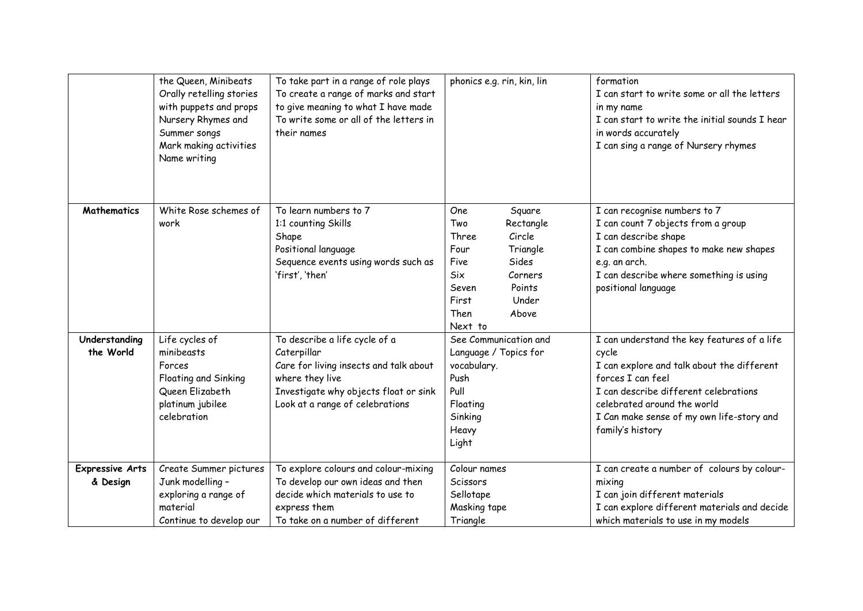|                             | the Queen, Minibeats<br>Orally retelling stories<br>with puppets and props<br>Nursery Rhymes and<br>Summer songs<br>Mark making activities<br>Name writing | To take part in a range of role plays<br>To create a range of marks and start<br>to give meaning to what I have made<br>To write some or all of the letters in<br>their names         | phonics e.g. rin, kin, lin                                                                                                                                                          | formation<br>I can start to write some or all the letters<br>in my name<br>I can start to write the initial sounds I hear<br>in words accurately<br>I can sing a range of Nursery rhymes                                                                         |
|-----------------------------|------------------------------------------------------------------------------------------------------------------------------------------------------------|---------------------------------------------------------------------------------------------------------------------------------------------------------------------------------------|-------------------------------------------------------------------------------------------------------------------------------------------------------------------------------------|------------------------------------------------------------------------------------------------------------------------------------------------------------------------------------------------------------------------------------------------------------------|
| <b>Mathematics</b>          | White Rose schemes of<br>work                                                                                                                              | To learn numbers to 7<br>1:1 counting Skills<br>Shape<br>Positional language<br>Sequence events using words such as<br>'first', 'then'                                                | One<br>Square<br>Two<br>Rectangle<br>Circle<br>Three<br>Four<br>Triangle<br>Sides<br>Five<br>Corners<br><b>Six</b><br>Points<br>Seven<br>First<br>Under<br>Then<br>Above<br>Next to | I can recognise numbers to 7<br>I can count 7 objects from a group<br>I can describe shape<br>I can combine shapes to make new shapes<br>e.g. an arch.<br>I can describe where something is using<br>positional language                                         |
| Understanding<br>the World  | Life cycles of<br>minibeasts<br>Forces<br>Floating and Sinking<br>Queen Elizabeth<br>platinum jubilee<br>celebration                                       | To describe a life cycle of a<br>Caterpillar<br>Care for living insects and talk about<br>where they live<br>Investigate why objects float or sink<br>Look at a range of celebrations | See Communication and<br>Language / Topics for<br>vocabulary.<br>Push<br>Pull<br>Floating<br>Sinking<br>Heavy<br>Light                                                              | I can understand the key features of a life<br>cycle<br>I can explore and talk about the different<br>forces I can feel<br>I can describe different celebrations<br>celebrated around the world<br>I Can make sense of my own life-story and<br>family's history |
| Expressive Arts<br>& Design | Create Summer pictures<br>Junk modelling -<br>exploring a range of<br>material<br>Continue to develop our                                                  | To explore colours and colour-mixing<br>To develop our own ideas and then<br>decide which materials to use to<br>express them<br>To take on a number of different                     | Colour names<br><b>Scissors</b><br>Sellotape<br>Masking tape<br>Triangle                                                                                                            | I can create a number of colours by colour-<br>mixing<br>I can join different materials<br>I can explore different materials and decide<br>which materials to use in my models                                                                                   |